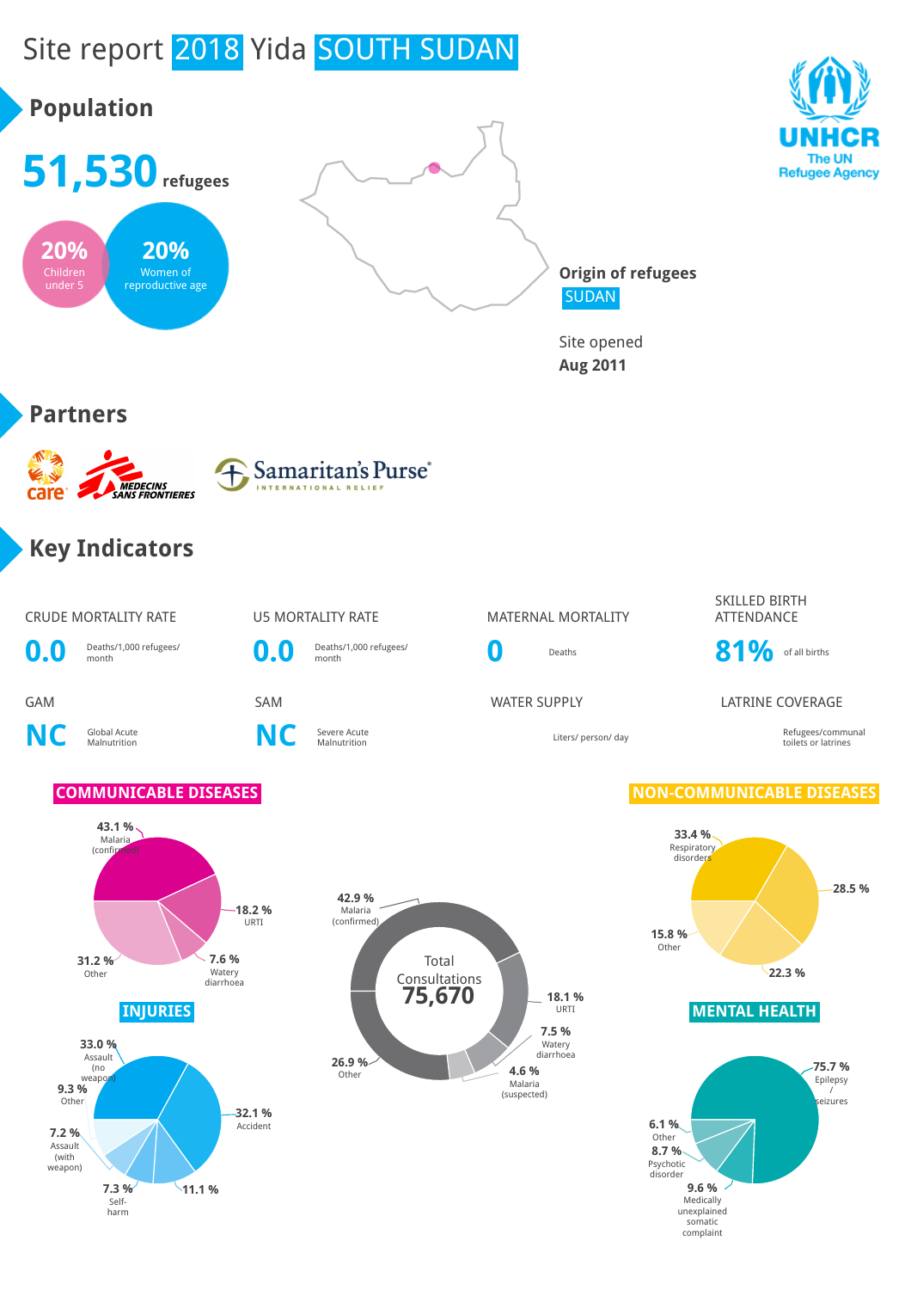

somatic complaint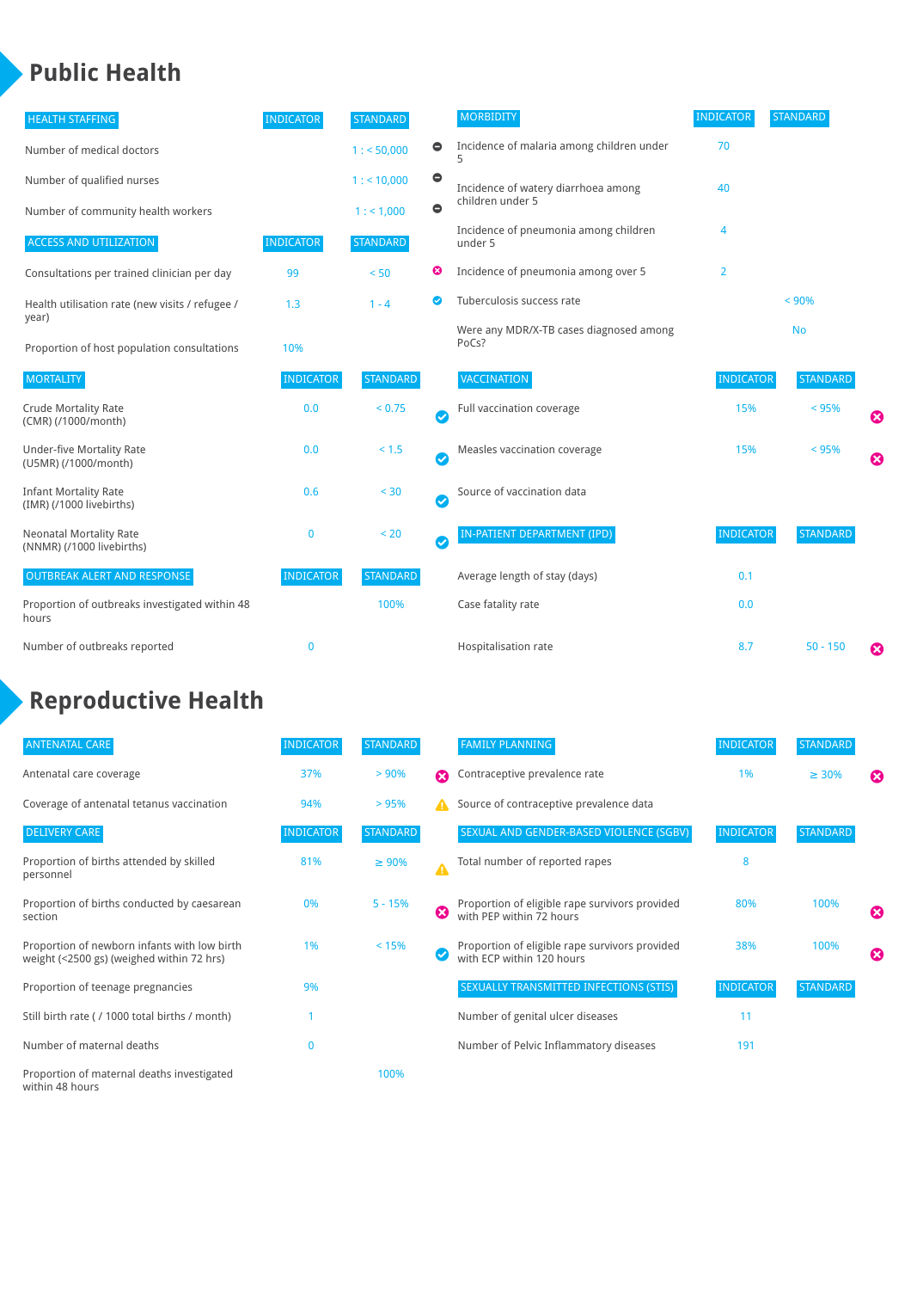### **Public Health**

| <b>HEALTH STAFFING</b>                                      | <b>INDICATOR</b> | <b>STANDARD</b> |                        | <b>MORBIDITY</b>                                 | <b>INDICATOR</b> | <b>STANDARD</b> |   |
|-------------------------------------------------------------|------------------|-----------------|------------------------|--------------------------------------------------|------------------|-----------------|---|
| Number of medical doctors                                   |                  | 1: 50,000       | 0                      | Incidence of malaria among children under        | 70               |                 |   |
| Number of qualified nurses                                  |                  | 1:10,000        | $\bullet$              | Incidence of watery diarrhoea among              | 40               |                 |   |
| Number of community health workers                          |                  | 1: 1,000        | $\bullet$              | children under 5                                 |                  |                 |   |
| <b>ACCESS AND UTILIZATION</b>                               | <b>INDICATOR</b> | <b>STANDARD</b> |                        | Incidence of pneumonia among children<br>under 5 | 4                |                 |   |
| Consultations per trained clinician per day                 | 99               | < 50            | ೞ                      | Incidence of pneumonia among over 5              | $\overline{2}$   |                 |   |
| Health utilisation rate (new visits / refugee /             | 1.3              | $1 - 4$         | ◙                      | Tuberculosis success rate                        |                  | < 90%           |   |
| year)<br>Proportion of host population consultations        | 10%              |                 |                        | Were any MDR/X-TB cases diagnosed among<br>PoCs? |                  | <b>No</b>       |   |
| <b>MORTALITY</b>                                            | <b>INDICATOR</b> | <b>STANDARD</b> |                        | <b>VACCINATION</b>                               | <b>INDICATOR</b> | <b>STANDARD</b> |   |
| <b>Crude Mortality Rate</b><br>(CMR) (/1000/month)          | 0.0              | < 0.75          | $\bullet$              | Full vaccination coverage                        | 15%              | < 95%           | € |
| <b>Under-five Mortality Rate</b><br>(U5MR) (/1000/month)    | 0.0              | < 1.5           | $\bullet$              | Measles vaccination coverage                     | 15%              | < 95%           | Ø |
| <b>Infant Mortality Rate</b><br>(IMR) (/1000 livebirths)    | 0.6              | $< 30$          | $\boldsymbol{\varphi}$ | Source of vaccination data                       |                  |                 |   |
| <b>Neonatal Mortality Rate</b><br>(NNMR) (/1000 livebirths) | 0                | < 20            | $\bullet$              | IN-PATIENT DEPARTMENT (IPD)                      | <b>INDICATOR</b> | <b>STANDARD</b> |   |
| <b>OUTBREAK ALERT AND RESPONSE</b>                          | <b>INDICATOR</b> | <b>STANDARD</b> |                        | Average length of stay (days)                    | 0.1              |                 |   |
| Proportion of outbreaks investigated within 48<br>hours     |                  | 100%            |                        | Case fatality rate                               | 0.0              |                 |   |
| Number of outbreaks reported                                | $\mathbf 0$      |                 |                        | Hospitalisation rate                             | 8.7              | $50 - 150$      | ೞ |

## **Reproductive Health**

| <b>ANTENATAL CARE</b>                                                                     | <b>INDICATOR</b> | <b>STANDARD</b> |                  | <b>FAMILY PLANNING</b>                                                      | <b>INDICATOR</b> | <b>STANDARD</b> |                       |
|-------------------------------------------------------------------------------------------|------------------|-----------------|------------------|-----------------------------------------------------------------------------|------------------|-----------------|-----------------------|
| Antenatal care coverage                                                                   | 37%              | > 90%           | Ω                | Contraceptive prevalence rate                                               | 1%               | $\geq 30\%$     | $\boldsymbol{\omega}$ |
| Coverage of antenatal tetanus vaccination                                                 | 94%              | >95%            | А                | Source of contraceptive prevalence data                                     |                  |                 |                       |
| <b>DELIVERY CARE</b>                                                                      | <b>INDICATOR</b> | <b>STANDARD</b> |                  | SEXUAL AND GENDER-BASED VIOLENCE (SGBV)                                     | <b>INDICATOR</b> | <b>STANDARD</b> |                       |
| Proportion of births attended by skilled<br>personnel                                     | 81%              | $\geq 90\%$     | $\blacktriangle$ | Total number of reported rapes                                              | 8                |                 |                       |
| Proportion of births conducted by caesarean<br>section                                    | 0%               | $5 - 15%$       | ☎                | Proportion of eligible rape survivors provided<br>with PEP within 72 hours  | 80%              | 100%            | ೞ                     |
| Proportion of newborn infants with low birth<br>weight (<2500 gs) (weighed within 72 hrs) | 1%               | < 15%           |                  | Proportion of eligible rape survivors provided<br>with ECP within 120 hours | 38%              | 100%            | ☎                     |
| Proportion of teenage pregnancies                                                         | 9%               |                 |                  | SEXUALLY TRANSMITTED INFECTIONS (STIS)                                      | <b>INDICATOR</b> | <b>STANDARD</b> |                       |
| Still birth rate (/ 1000 total births / month)                                            |                  |                 |                  | Number of genital ulcer diseases                                            | 11               |                 |                       |
| Number of maternal deaths                                                                 | $\mathbf{0}$     |                 |                  | Number of Pelvic Inflammatory diseases                                      | 191              |                 |                       |
| Proportion of maternal deaths investigated<br>within 48 hours                             |                  | 100%            |                  |                                                                             |                  |                 |                       |